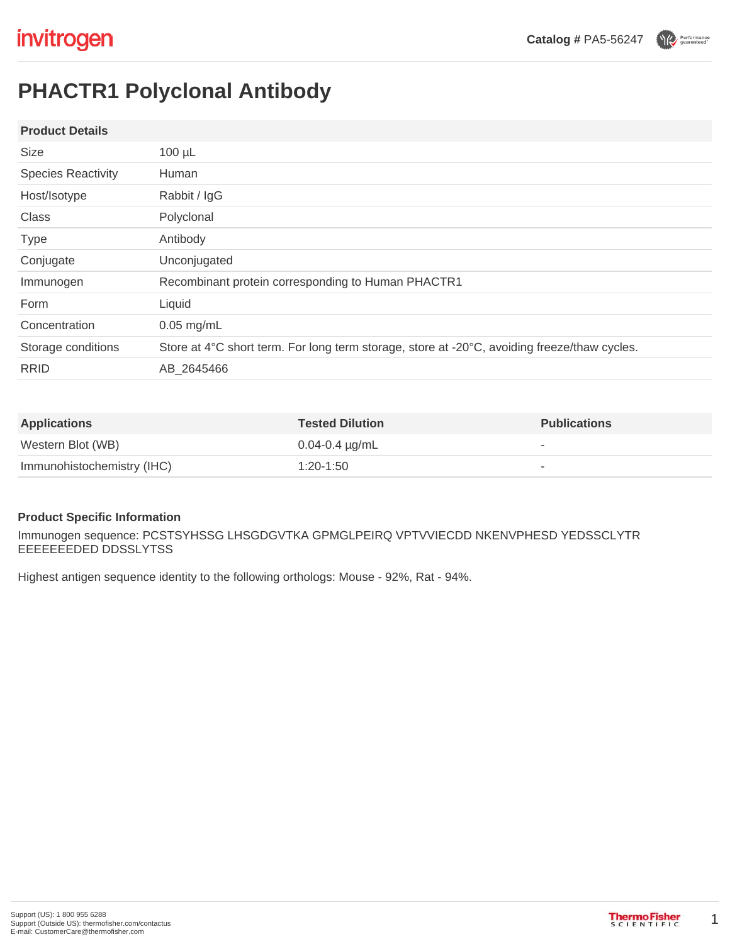Performance

# **PHACTR1 Polyclonal Antibody**

### **Product Details**

| <b>Size</b>               | $100 \mu L$                                                                                  |  |
|---------------------------|----------------------------------------------------------------------------------------------|--|
| <b>Species Reactivity</b> | Human                                                                                        |  |
| Host/Isotype              | Rabbit / IgG                                                                                 |  |
| Class                     | Polyclonal                                                                                   |  |
| <b>Type</b>               | Antibody                                                                                     |  |
| Conjugate                 | Unconjugated                                                                                 |  |
| Immunogen                 | Recombinant protein corresponding to Human PHACTR1                                           |  |
| Form                      | Liquid                                                                                       |  |
| Concentration             | $0.05$ mg/mL                                                                                 |  |
| Storage conditions        | Store at 4°C short term. For long term storage, store at -20°C, avoiding freeze/thaw cycles. |  |
| <b>RRID</b>               | AB 2645466                                                                                   |  |
|                           |                                                                                              |  |

| <b>Applications</b>        | <b>Tested Dilution</b> | <b>Publications</b> |
|----------------------------|------------------------|---------------------|
| Western Blot (WB)          | $0.04 - 0.4 \mu g/mL$  |                     |
| Immunohistochemistry (IHC) | 1:20-1:50              |                     |

### **Product Specific Information**

Immunogen sequence: PCSTSYHSSG LHSGDGVTKA GPMGLPEIRQ VPTVVIECDD NKENVPHESD YEDSSCLYTR EEEEEEEDED DDSSLYTSS

Highest antigen sequence identity to the following orthologs: Mouse - 92%, Rat - 94%.

1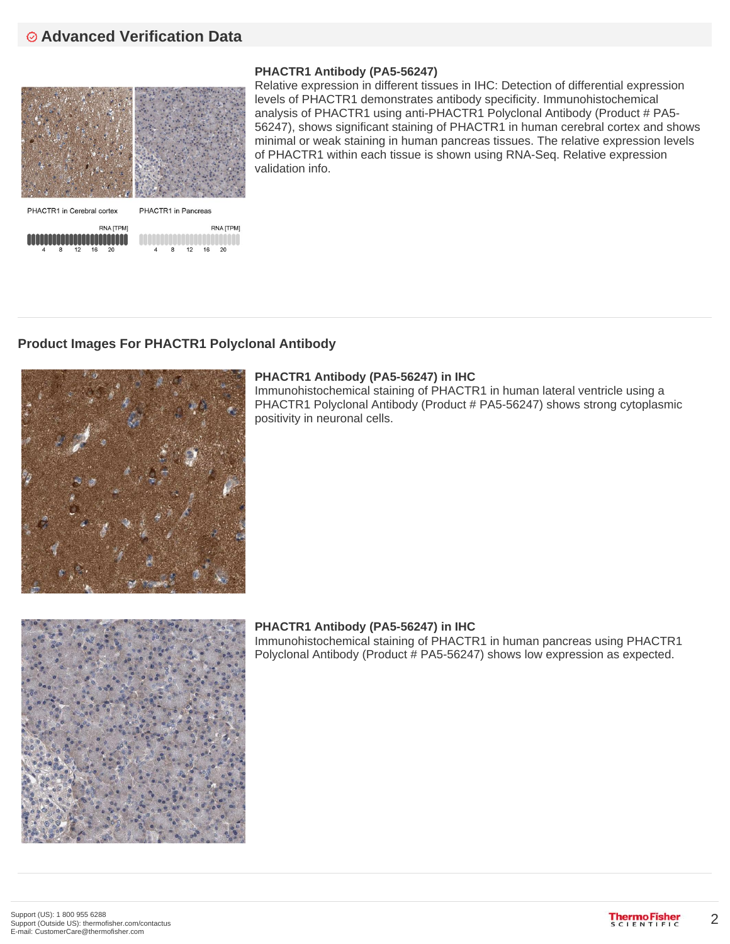# **Advanced Verification Data**



### **PHACTR1 Antibody (PA5-56247)**

Relative expression in different tissues in IHC: Detection of differential expression levels of PHACTR1 demonstrates antibody specificity. Immunohistochemical analysis of PHACTR1 using anti-PHACTR1 Polyclonal Antibody (Product # PA5- 56247), shows significant staining of PHACTR1 in human cerebral cortex and shows minimal or weak staining in human pancreas tissues. The relative expression levels of PHACTR1 within each tissue is shown using RNA-Seq. Relative expression validation info.



### **Product Images For PHACTR1 Polyclonal Antibody**

**RNA ITPMI** 

16 20



### **PHACTR1 Antibody (PA5-56247) in IHC**

Immunohistochemical staining of PHACTR1 in human lateral ventricle using a PHACTR1 Polyclonal Antibody (Product # PA5-56247) shows strong cytoplasmic positivity in neuronal cells.



### **PHACTR1 Antibody (PA5-56247) in IHC**

Immunohistochemical staining of PHACTR1 in human pancreas using PHACTR1 Polyclonal Antibody (Product # PA5-56247) shows low expression as expected.

2